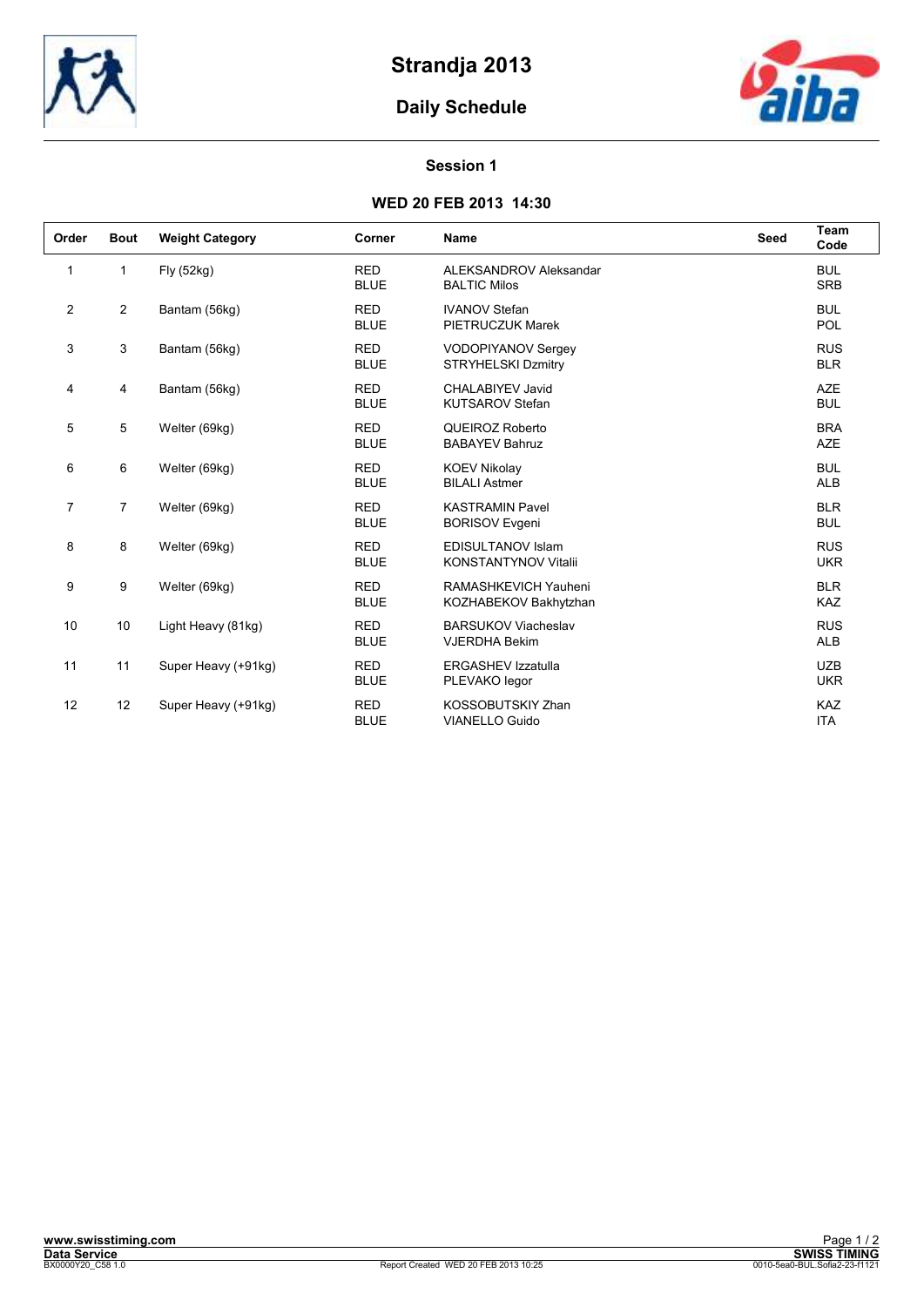

# **Daily Schedule**



#### **Session 1**

### **WED 20 FEB 2013 14:30**

| Order          | <b>Bout</b>    | <b>Weight Category</b> | Corner                    | <b>Name</b>                                             | Seed | Team<br>Code             |
|----------------|----------------|------------------------|---------------------------|---------------------------------------------------------|------|--------------------------|
| 1              | $\mathbf{1}$   | Fly (52kg)             | <b>RED</b><br><b>BLUE</b> | ALEKSANDROV Aleksandar<br><b>BALTIC Milos</b>           |      | <b>BUL</b><br><b>SRB</b> |
| $\overline{2}$ | $\overline{2}$ | Bantam (56kg)          | <b>RED</b><br><b>BLUE</b> | <b>IVANOV Stefan</b><br>PIETRUCZUK Marek                |      | <b>BUL</b><br><b>POL</b> |
| 3              | 3              | Bantam (56kg)          | <b>RED</b><br><b>BLUE</b> | VODOPIYANOV Sergey<br><b>STRYHELSKI Dzmitry</b>         |      | <b>RUS</b><br><b>BLR</b> |
| 4              | 4              | Bantam (56kg)          | <b>RED</b><br><b>BLUE</b> | CHALABIYEV Javid<br><b>KUTSAROV Stefan</b>              |      | <b>AZE</b><br><b>BUL</b> |
| 5              | 5              | Welter (69kg)          | <b>RED</b><br><b>BLUE</b> | QUEIROZ Roberto<br><b>BABAYEV Bahruz</b>                |      | <b>BRA</b><br><b>AZE</b> |
| 6              | 6              | Welter (69kg)          | <b>RED</b><br><b>BLUE</b> | <b>KOEV Nikolav</b><br><b>BILALI Astmer</b>             |      | <b>BUL</b><br><b>ALB</b> |
| $\overline{7}$ | $\overline{7}$ | Welter (69kg)          | <b>RED</b><br><b>BLUE</b> | <b>KASTRAMIN Pavel</b><br><b>BORISOV Evgeni</b>         |      | <b>BLR</b><br><b>BUL</b> |
| 8              | 8              | Welter (69kg)          | <b>RED</b><br><b>BLUE</b> | <b>EDISULTANOV Islam</b><br><b>KONSTANTYNOV Vitalii</b> |      | <b>RUS</b><br><b>UKR</b> |
| 9              | 9              | Welter (69kg)          | <b>RED</b><br><b>BLUE</b> | RAMASHKEVICH Yauheni<br>KOZHABEKOV Bakhytzhan           |      | <b>BLR</b><br><b>KAZ</b> |
| 10             | 10             | Light Heavy (81kg)     | <b>RED</b><br><b>BLUE</b> | <b>BARSUKOV Viacheslav</b><br><b>VJERDHA Bekim</b>      |      | <b>RUS</b><br><b>ALB</b> |
| 11             | 11             | Super Heavy (+91kg)    | <b>RED</b><br><b>BLUE</b> | <b>ERGASHEV Izzatulla</b><br>PLEVAKO legor              |      | <b>UZB</b><br><b>UKR</b> |
| 12             | 12             | Super Heavy (+91kg)    | <b>RED</b><br><b>BLUE</b> | KOSSOBUTSKIY Zhan<br><b>VIANELLO Guido</b>              |      | KAZ<br><b>ITA</b>        |